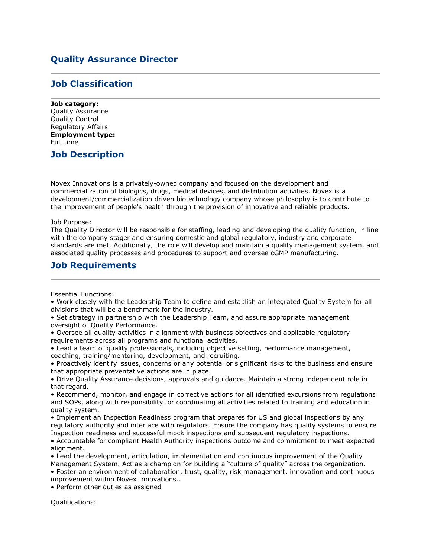## **Quality Assurance Director**

## **Job Classification**

**Job category:** Quality Assurance Quality Control Regulatory Affairs **Employment type:** Full time

## **Job Description**

Novex Innovations is a privately-owned company and focused on the development and commercialization of biologics, drugs, medical devices, and distribution activities. Novex is a development/commercialization driven biotechnology company whose philosophy is to contribute to the improvement of people's health through the provision of innovative and reliable products.

Job Purpose:

The Quality Director will be responsible for staffing, leading and developing the quality function, in line with the company stager and ensuring domestic and global regulatory, industry and corporate standards are met. Additionally, the role will develop and maintain a quality management system, and associated quality processes and procedures to support and oversee cGMP manufacturing.

## **Job Requirements**

Essential Functions:

• Work closely with the Leadership Team to define and establish an integrated Quality System for all divisions that will be a benchmark for the industry.

• Set strategy in partnership with the Leadership Team, and assure appropriate management oversight of Quality Performance.

• Oversee all quality activities in alignment with business objectives and applicable regulatory requirements across all programs and functional activities.

• Lead a team of quality professionals, including objective setting, performance management, coaching, training/mentoring, development, and recruiting.

• Proactively identify issues, concerns or any potential or significant risks to the business and ensure that appropriate preventative actions are in place.

• Drive Quality Assurance decisions, approvals and guidance. Maintain a strong independent role in that regard.

• Recommend, monitor, and engage in corrective actions for all identified excursions from regulations and SOPs, along with responsibility for coordinating all activities related to training and education in quality system.

• Implement an Inspection Readiness program that prepares for US and global inspections by any regulatory authority and interface with regulators. Ensure the company has quality systems to ensure Inspection readiness and successful mock inspections and subsequent regulatory inspections.

• Accountable for compliant Health Authority inspections outcome and commitment to meet expected alignment.

• Lead the development, articulation, implementation and continuous improvement of the Quality Management System. Act as a champion for building a "culture of quality" across the organization.

• Foster an environment of collaboration, trust, quality, risk management, innovation and continuous improvement within Novex Innovations..

• Perform other duties as assigned

Qualifications: